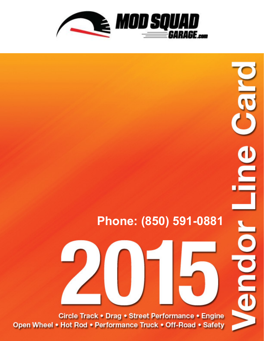

# **Phone: (850) 591-0881**

Circle Track • Drag • Street Performance • Engine Open Wheel • Hot Rod • Performance Truck • Off-Road • Safety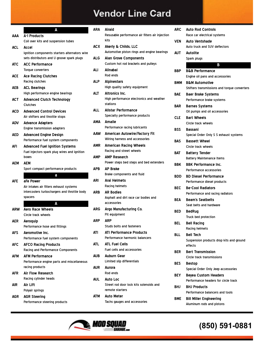|            | A                                                             |
|------------|---------------------------------------------------------------|
| ΔΑΔ        | A-1 Products                                                  |
|            | Coil over kits and suspension tubes                           |
| <b>ACL</b> | Accel                                                         |
|            | Ignition components starters alternators wire                 |
|            | sets distributors and U groove spark plugs                    |
| <b>ATC</b> | <b>ACC Performance</b>                                        |
|            | Torque converters                                             |
| ACE        | <b>Ace Racing Clutches</b>                                    |
|            | Racing clutches                                               |
| AEB        | <b>ACL Bearings</b>                                           |
|            | High performance engine bearings                              |
| ACT        | <b>Advanced Clutch Technology</b>                             |
|            | Clutches                                                      |
| ACD        | <b>Advanced Control Devices</b>                               |
|            | Air shifters and throttle stops                               |
| <b>ADV</b> | <b>Advance Adapters</b>                                       |
|            | Engine transmission adapters                                  |
| AED.       | <b>Advanced Engine Design</b>                                 |
|            | Performance fuel system components                            |
| AFI        | <b>Advanced Fuel Ignition Systems</b>                         |
|            | Fuel injectors spark plug wires and ignition                  |
|            | boxes                                                         |
| AEM        | AEM                                                           |
|            | Sport compact performance products                            |
|            | a                                                             |
| <b>AFE</b> | aFe Power                                                     |
|            | Air intakes air filters exhaust systems                       |
|            | intercoolers turbochargers and throttle body                  |
|            | spacers                                                       |
|            | A                                                             |
| <b>ARW</b> | <b>Aero Race Wheels</b>                                       |
|            | Circle track wheels                                           |
| AER        | <b>Aeroquip</b>                                               |
|            | Performance hose and fittings                                 |
| <b>AFS</b> | Aeromotive Inc.                                               |
|            | Performance fuel system components                            |
| <b>AFC</b> | <b>AFCO Racing Products</b>                                   |
|            | Racing and Performance Components                             |
| AFM        | <b>AFM Performance</b>                                        |
|            | Performance engine parts and miscellaneous<br>racing products |
| <b>AFR</b> | Air Flow Research                                             |
|            | Racing cylinder heads                                         |
| AIR.       | Air Lift                                                      |
|            | Polyair springs                                               |
|            |                                                               |
| AGR        | <b>AGR Steering</b>                                           |

| ARA        | Airaid                                                              |
|------------|---------------------------------------------------------------------|
|            | Resusable performance air filters air injection<br>kits             |
| <b>ACX</b> | Akerly & Childs, LLC<br>Automotive piston rings and engine bearings |
| ALG I      | <b>Alan Grove Components</b>                                        |
|            | Custom hot rod brackets and pulleys                                 |
| ALI        | Alinabal<br>Rod ends                                                |
|            |                                                                     |
| ALP        | <b>Alpinestars</b><br>High quality safety equipment                 |
| ALT.       | <b>Altronics Inc.</b>                                               |
|            | High performance electronics and weather<br>stations                |
| <b>ALL</b> | <b>Allstar Performance</b>                                          |
|            | Specialty performance products                                      |
| AMA        | Amalie                                                              |
|            | Performance racing lubricants                                       |
| AAW        | American Autowire/Factory Fit                                       |
|            | Wiring harness and accessories                                      |
| AMR        | <b>American Racing Wheels</b>                                       |
|            | Racing and street wheels                                            |
| АМР        | <b>AMP Research</b>                                                 |
|            | Power steps bed steps and bed extenders                             |
| <b>APB</b> | <b>AP Brake</b>                                                     |
|            | Brake components and fluid                                          |
| ARI        | Arai Helmets                                                        |
|            | <b>Racing helmets</b>                                               |
| <b>ARB</b> | <b>AR Bodies</b>                                                    |
|            | Asphalt and dirt race car bodies and<br>accessories                 |
| ARG        | Argo Manufacturing Co.                                              |
|            | Pit equipment                                                       |
| ARP        | ARP                                                                 |
|            | <b>Studs bolts and fasteners</b>                                    |
| ATI        | <b>ATI Performance Products</b>                                     |
|            | Performance harmonic balancers                                      |
| ATL.       | <b>ATL Fuel Cells</b>                                               |
|            | <b>Fuel cells and accessories</b>                                   |
| AUB        | <b>Auburn Gear</b><br>Limited slip differentials                    |
| AUR        | Aurora                                                              |
|            | Rod ends                                                            |
| AUL        | <b>Auto Loc</b>                                                     |
|            | Street rod door lock kits solenoids and                             |
|            | remote starters                                                     |
| ATM        | <b>Auto Meter</b>                                                   |
|            | Tachs gauges and accessories                                        |

| ARC        | <b>Auto Rod Controls</b><br>Race car electrical systems |
|------------|---------------------------------------------------------|
|            |                                                         |
| VEN        | Auto Ventshade<br>Auto truck and SUV deflectors         |
| AUT        | Autolite                                                |
|            | Spark plugs                                             |
|            | B                                                       |
| BBP        | <b>B&amp;B Performance</b>                              |
|            | Engine oil pans and accessories                         |
| BMM        | <b>B&amp;M Automotive</b>                               |
|            | Shifters transmissions and torque converters            |
| BAF        | <b>Baer Brake Systems</b>                               |
|            | Performance brake systems                               |
| BAR        | <b>Barnes Systems</b>                                   |
|            | Oil pumps and oil accessories                           |
| CLE        | <b>Bart Wheels</b>                                      |
|            | Circle track wheels                                     |
| <b>BSS</b> | <b>Bassani</b>                                          |
|            | Special Order Only S S exhaust systems                  |
| BAS        | <b>Bassett Wheel</b>                                    |
|            | Circle track wheels                                     |
| BAT        | <b>Battery Tender</b>                                   |
|            | <b>Battery Maintenance Items</b>                        |
| BBK        | <b>BBK Performance Inc.</b>                             |
|            | Performance accessories                                 |
| BDD        | <b>BD Diesel Performance</b>                            |
|            | Performance diesel products                             |
| BEC        | <b>Be-Cool Radiators</b>                                |
|            | Performance and racing radiators                        |
| BEA        | <b>Beam's Seatbelts</b>                                 |
|            | Seat belts and hardware                                 |
| BED        | <b>BedRug</b>                                           |
|            | Truck bed protection                                    |
| BEL        | <b>Bell Racing</b>                                      |
|            | <b>Racing helmets</b>                                   |
| BLL        | <b>Bell Tech</b>                                        |
|            | Suspension products drop kits and ground                |
|            | effects                                                 |
| BER        | <b>Bert Transmission</b>                                |
|            | Circle track transmissions                              |
| BES        | <b>Bestop</b>                                           |
|            | Special Order Only Jeep accessories                     |
| <b>BEY</b> | <b>Beyea Custom Headers</b>                             |
|            | Performance headers for circle track                    |
| BHJ        | <b>BHJ Products</b>                                     |
|            | Performance balancers and tools                         |
| BME        | <b>Bill Miller Engineering</b>                          |
|            | Aluminum rods and pistons                               |

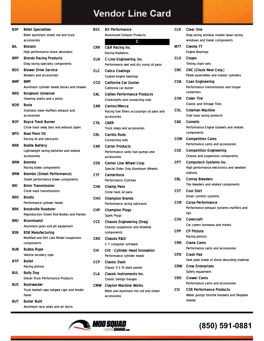| BSP        | <b>Billet Specialties</b>                                               |
|------------|-------------------------------------------------------------------------|
|            | Billet aluminum street rod and truck                                    |
|            | accessories                                                             |
| BIL        | <b>Bilstein</b>                                                         |
|            | High performance shock absorbers                                        |
| BRP        | <b>Biondo Racing Products</b>                                           |
|            | Drag racing specialty components                                        |
| BDS        | <b>Blower Drive Service</b>                                             |
|            | <b>Blowers and accessories</b>                                          |
| <b>BMP</b> | <b>BMP</b>                                                              |
|            | Aluminum cylinder heads blocks and intakes                              |
| <b>BRG</b> | <b>Borgeson Universal</b>                                               |
|            | Steering shafts and u joints                                            |
| <b>BOR</b> | Boria                                                                   |
|            | Stainless steel mufflers exhaust and                                    |
|            | accessories                                                             |
| <b>BOY</b> | <b>Boyce Track Burner</b>                                               |
|            | Circle track sway bars and exhaust pipes                                |
| BPO.       | Brad Penn Oil                                                           |
|            | Racing oil and lubricants                                               |
| <b>BRB</b> | <b>Braille Battery</b>                                                  |
|            | Lightweight racing batteries and related                                |
|            | accessories                                                             |
| BRM        | <b>Brembo</b>                                                           |
|            | Racing brake components                                                 |
| BRM        | <b>Brembo (Street Performance)</b>                                      |
|            | Street performance brake components                                     |
| BRI        | <b>Brinn Transmission</b>                                               |
|            | Circle track transmissions                                              |
| <b>BRO</b> | <b>Brodix</b>                                                           |
|            | Performance cylinder heads                                              |
| <b>BRK</b> | <b>Brookville Roadster</b><br>Reproduction Street Rod Bodies and Frames |
|            |                                                                         |
| BRU        | <b>Brunnhoelzl</b><br>Aluminum jacks and pit equipment                  |
|            |                                                                         |
| <b>BSB</b> | <b>BSB Manufacturing</b><br>Modified and Dirt Late Model suspension     |
|            | components                                                              |
| <b>BUB</b> | <b>Bubba Rope</b>                                                       |
|            | Vehicle recovery rope                                                   |
| BTP.       | <b>Bullet</b>                                                           |
|            | Racing pistons                                                          |
| <b>BUL</b> | <b>Bully Dog</b>                                                        |
|            | <b>Diesel Truck Performance Products</b>                                |
| <b>BUS</b> | Bushwacker                                                              |
|            | Truck bedrail caps tailgate caps and fender                             |
|            | flares                                                                  |
| BUT        | <b>Butler Built</b>                                                     |
|            | Aluminum race seats and air ducts                                       |

| BSS        | <b>BX</b> Performance                      |
|------------|--------------------------------------------|
|            | <b>Aluminized Exhaust Products</b>         |
|            | $\overline{C}$                             |
| CRR        | <b>C&amp;R Racing Inc.</b>                 |
|            | <b>Racing Radiators</b>                    |
| CLN        | C-Line Engineering, Inc.                   |
|            | Performance wet and dry sump oil pans      |
| CLC        | <b>Calico Coatings</b>                     |
|            | Coated engine bearings                     |
| CCD        | <b>California Car Duster</b>               |
|            | California car duster                      |
| CAL        | <b>Callies Performance Products</b>        |
|            | Crankshafts and connecting rods            |
| CAN        | <b>Canton/Mecca</b>                        |
|            | Racing fuel filters accusumps oil pans and |
|            | accessories                                |
| CTA        | <b>CARR</b>                                |
|            | Truck steps and accessories                |
| CRL        | <b>Carrillo Rods</b>                       |
|            | Connecting rods                            |
| <b>CAR</b> | <b>Carter Products</b>                     |
|            | Performance carbs fuel pumps and           |
|            | accessories                                |
| CEN        | <b>Center Line Wheel Corp.</b>             |
|            | Special Order Only Aluminum Wheels         |
| CTF        | Centerforce                                |
|            | <b>Performance Clutches</b>                |
| CHA        | <b>Champ Pans</b>                          |
|            | Circle track oil pans                      |
| сно        | <b>Champion Brands</b>                     |
|            | Performance racing lubricants              |
| CHP        | <b>Champion Plugs</b>                      |
|            | <b>Spark Plugs</b>                         |
| CCE        | <b>Chassis Engineering (Drag)</b>          |
|            | Chassis suspension and driveline           |
|            | components                                 |
| CRD        | <b>Chassis R&amp;D</b>                     |
|            | C T computer software                      |
| CHI        | <b>CHI - Cylinder Head Innovation</b>      |
|            | Performance cylinder heads                 |
| CCP        | <b>Classic Dash</b>                        |
|            | Classic O E fit dash panels                |
| CLA        | <b>Classic Instruments Inc.</b>            |
|            | <b>Classic Design Gauges</b>               |
| CMW        | <b>Clayton Machine Works</b>               |
|            | Billet and aluminum hot rod and street     |
|            | accessories                                |
|            |                                            |

| CLR        | <b>Clear One</b>                                     |
|------------|------------------------------------------------------|
|            | Drag racing window marker lexan racing               |
|            | windows and trailer components                       |
| M77        | Clevite 77                                           |
|            | <b>Engine Bearings</b>                               |
| CLO        | <b>Cloyes</b>                                        |
|            | Timing chain sets                                    |
| CNC        | <b>CNC (Chuck Neal Corp.)</b>                        |
|            | Pedal assemblies and master cylinders                |
| COA        | <b>Coan Engineering</b>                              |
|            | Performance transmissions and torque                 |
|            | converters                                           |
| COK        | <b>Coker Tire</b>                                    |
|            | <b>Classic and Vintage Tires</b>                     |
| COL        | <b>Coleman Machine</b>                               |
|            | Oval track racing products                           |
| CAG        | Cometic                                              |
|            | Performance Engine Gaskets and related               |
|            | components                                           |
| COM        | <b>Competition Cams</b>                              |
|            | Performance cams and accessories                     |
|            |                                                      |
| COE        | <b>Competition Engineering</b>                       |
|            | Chassis and suspension components                    |
| CPT        | <b>Computech Systems Inc.</b>                        |
|            | High performance electronics and weather<br>stations |
|            |                                                      |
| CBL        | <b>Conroy Bleeders</b>                               |
|            | Tire bleeders and related components                 |
| CST        | <b>Cool Shirt</b>                                    |
|            | Driver comfort systems                               |
| <b>COR</b> | <b>Corsa Performance</b>                             |
|            | Performance exhaust systems mufflers and             |
|            | tips                                                 |
| COV        | Covercraft                                           |
|            | Car covers tonneaus and masks                        |
| <b>CPP</b> | <b>CP Pistons</b>                                    |
|            | Racing pistons                                       |
| <b>CRN</b> | <b>Crane Cams</b>                                    |
|            | Performance cams and accessories                     |
| CPD.       | Crash Pad                                            |
|            | Seat pads made of shock absorbing material           |
| <b>CRW</b> | <b>Crow Enterprizes</b>                              |
|            | Safety equipment                                     |
| CRO        | <b>Crower Cams</b>                                   |
|            | Performance cams and accessories                     |
| CSI        | <b>CSR Performance Products</b>                      |
|            | Water pumps throttle brackets and flexplate          |
|            |                                                      |



#### **(850) 591-0881**

shields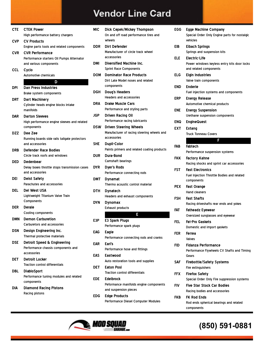| <b>CTE</b> | <b>CTEK Power</b>                                        |
|------------|----------------------------------------------------------|
|            | High performance battery chargers                        |
| CVP        | <b>CV Products</b>                                       |
|            | Engine parts tools and related components                |
| <b>CVR</b> | <b>CVR Performance</b>                                   |
|            | Performance starters Oil Pumps Alternator                |
|            | and various components                                   |
| CCL        | Cyclo<br><b>Automotive chemicals</b>                     |
|            | D                                                        |
| DPI        | <b>Dan Press Industries</b>                              |
|            | Brake system components                                  |
| <b>DRT</b> | <b>Dart Machinery</b>                                    |
|            | Cylinder heads engine blocks intake                      |
|            | manifolds                                                |
| DAR        | <b>Darton Sleeves</b>                                    |
|            | High performance engine sleeves and related              |
|            | components                                               |
| DZZ        | Dee Zee<br>Running boards side rails tailgate protectors |
|            | and accessories                                          |
| <b>DRB</b> | Defender Race Bodies                                     |
|            | Circle track roofs and windows                           |
| DED        | Dedenbear                                                |
|            | Delay boxes throttle stops transmission cases            |
|            | and accessories                                          |
| DEI        | <b>Deist Safety</b><br>Parachutes and accessories        |
| <b>DEL</b> | Del West USA                                             |
|            | Lightweight Titanium Valve Train                         |
|            | Components                                               |
| DER        | <b>Derale</b>                                            |
|            | Cooling components                                       |
| DMN        | <b>Demon Carburetion</b>                                 |
|            | Carburetors and accessories                              |
| <b>DSN</b> | Design Engineering Inc.                                  |
|            | Thermal protective materials                             |
| <b>DSE</b> | Detroit Speed & Engineering                              |
|            | Performance chassis components and<br>accessories        |
| DET        | Detroit Locker                                           |
|            | <b>Traction control differentials</b>                    |
| DBL        | DiabloSport                                              |
|            | Performance tuning modules and related                   |
|            | components                                               |
| DIA        | <b>Diamond Racing Pistons</b>                            |
|            | Racing pistons                                           |

| MIC        | Dick Cepek/Mickey Thompson<br>On and off road performance tires and<br>wheels              |
|------------|--------------------------------------------------------------------------------------------|
| DDR        | <b>Dirt Defender</b><br>Manufacturer of circle track wheel<br>accessories                  |
| DMI        | <b>Diversified Machine Inc.</b><br><b>Sprint Race Components</b>                           |
| DOM        | <b>Dominator Race Products</b><br>Dirt Late Model noses and related<br>components          |
| DGH        | <b>Doug's Headers</b><br><b>Headers and accessories</b>                                    |
| <b>DRA</b> | <b>Drake Muscle Cars</b><br>Performance and styling parts                                  |
| JGP        | <b>Driven Racing Oil</b><br>Performance racing lubricants                                  |
| <b>DSW</b> | <b>Driven Steering Wheels</b><br>Manufacturer of racing steering wheels and<br>accessories |
| <b>SHE</b> | <b>Dupli-Color</b><br>Paints primers and related coating products                          |
| <b>DUR</b> | Dura-Bond<br><b>Camshaft bearings</b>                                                      |
| <b>DYR</b> | <b>Dyer's Rods</b><br>Performance connecting rods                                          |
| DMT        | Dynamat<br>Thermo acoustic control material                                                |
| <b>DTH</b> | Dynatech<br>Headers and exhaust components                                                 |
| <b>DYN</b> | <b>Dynomax</b><br><b>Exhaust products</b>                                                  |
|            | E                                                                                          |
| E3P        | <b>E3 Spark Plugs</b><br>Performance spark plugs                                           |
| <b>EAG</b> | Eagle<br>Performance connecting rods and cranks                                            |
| EAR        | Earl's<br>Performance hose and fittings                                                    |
| EAS        | Eastwood<br>Auto restoration tools and supplies                                            |
| DET        | <b>Eaton Posi</b><br><b>Traction control differentials</b>                                 |
| <b>EDE</b> | Edelbrock<br>Peformance manifolds engine components<br>and suspension pieces               |
| EDG        | <b>Edge Products</b><br>Performance Diesel Computer Modules                                |

| EGG        | <b>Egge Machine Company</b><br>Special Order Only Engine parts for nostalgic<br>vehicles |
|------------|------------------------------------------------------------------------------------------|
| EIB        | <b>Eibach Springs</b><br>Springs and suspension kits                                     |
| ele        | Electric-Life<br>Power windows keyless entry kits door locks<br>and related components   |
| ELG        | <b>Elgin Industries</b><br>Valve train components                                        |
| END        | <b>Enderle</b><br>Fuel injection systems and components                                  |
| ERP        | <b>Energy Release</b><br>Automotive chemical products                                    |
| ENE        | <b>Energy Suspension</b><br>Urethane suspension components                               |
| ENQ        | <b>EngineQuest</b>                                                                       |
| <b>EXT</b> | <b>Extang</b>                                                                            |
|            | <b>Truck Tonneau Covers</b>                                                              |
|            | F                                                                                        |
| FAB        | <b>Fabtech</b>                                                                           |
|            | Performance suspension systems                                                           |
| <b>FKK</b> | <b>Factory Kahne</b><br>Racing shocks and sprint car accessories                         |
| FST        | <b>Fast Electronics</b><br>Fuel Injection Throttle Bodies and related                    |
|            | components                                                                               |
| <b>PEX</b> | <b>Fast Orange</b><br><b>Hand cleaners</b>                                               |
| FSH        | <b>Fast Shafts</b><br>Racing driveshafts rear ends and yokes                             |
| Fat        | <b>Fatheadz Eyewear</b><br>Oversized sunglasses and eyewear                              |
| FEL        | <b>Fel-Pro Gaskets</b><br>Domestic and import gaskets                                    |
| <b>FER</b> | Ferrea<br>Valves                                                                         |
| FID        | <b>Fidanza Performance</b><br>Performance Flywheels CV Shafts and Timing<br>Gears        |
| SAF        | <b>Firebottle/Safety Systems</b><br>Fire extinguishers                                   |
| <b>FFX</b> | <b>Firefox Safety</b><br>Special Order Only Fire suppression systems                     |
| FIV        | <b>Five Star Stock Car Bodies</b><br>Racing bodies and accessories                       |
| <b>FKB</b> | <b>FK Rod Ends</b>                                                                       |
|            | Rod ends spherical bearings and related<br>components                                    |

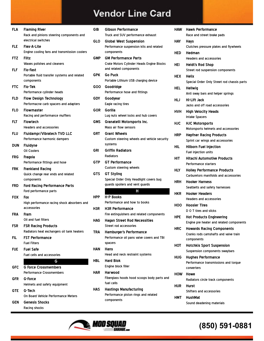| FLA        | <b>Flaming River</b><br>Rack and pinions steering components and |
|------------|------------------------------------------------------------------|
|            | electrical switches                                              |
|            |                                                                  |
| FLE        | <b>Flex-A-Lite</b>                                               |
|            | Engine cooling fans and transmission coolers                     |
| FTZ        | Flitz                                                            |
|            | Waxes polishes and cleaners                                      |
| FLF        | <b>Flo-Fast</b>                                                  |
|            | Portable fluid transfer systems and related<br>components        |
| FTC        | Flo-Tek                                                          |
|            | Performance cylinder heads                                       |
| FLD        | <b>Flow Design Technology</b>                                    |
|            | Performacne carb spacers and adapters                            |
| FLO        | Flowmaster                                                       |
|            | Racing and performance mufflers                                  |
| FLT.       | <b>Flowtech</b>                                                  |
|            | <b>Headers and accessories</b>                                   |
|            |                                                                  |
| FLU        | <b>Fluidampr/Vibratech TVD LLC</b>                               |
|            | Performance harmonic dampers                                     |
| <b>DUN</b> | <b>Fluidyne</b>                                                  |
|            | <b>Oil Coolers</b>                                               |
| FRG        | Fragola                                                          |
|            | Performance fittings and hose                                    |
| <b>FRK</b> | <b>Frankland Racing</b>                                          |
|            | Quick change rear ends and related                               |
|            | components                                                       |
| FRD        | <b>Ford Racing Performance Parts</b>                             |
|            | Ford performance parts                                           |
| FOX        | Fox                                                              |
|            | High performance racing shock absorbers and                      |
|            | accessories                                                      |
| FRA        | Fram                                                             |
|            | Oil and fuel filters                                             |
| <b>FSR</b> | <b>FSR Racing Products</b>                                       |
|            | Radiators heat exchangers oil tank heaters                       |
| FIL        | <b>FST Performance</b>                                           |
|            | <b>Fuel Filters</b>                                              |
| <b>FUE</b> | <b>Fuel Safe</b>                                                 |
|            | <b>Fuel cells and accessories</b>                                |
|            | G                                                                |
| GFC        | <b>G Force Crossmembers</b>                                      |
|            | <b>Performance Crossmembers</b>                                  |
| GFR        | G-Force                                                          |
|            | Helmets and safety equipment                                     |
| GTE        | G-Tech                                                           |
|            | On Board Vehicle Performance Meters                              |
|            |                                                                  |
| GEN        | <b>Genesis Shocks</b>                                            |
|            | <b>Racing shocks</b>                                             |

| GIB        | <b>Gibson Performance</b><br>Truck and SUV performance exhaust                                  |
|------------|-------------------------------------------------------------------------------------------------|
| GLO        | <b>Global West Suspension</b><br>Performance suspension kits and related                        |
| GMP        | components<br><b>GM Performance Parts</b><br>Crate Motors Cylinder Heads Engine Blocks          |
| GPK        | and related components<br>Go Puck<br>Portable Lithium USB charging device                       |
| GOO        | Goodridge<br>Performance hose and fittings                                                      |
| GDY.       | Goodyear<br>Eagle racing tires                                                                  |
| GOR        | Gorilla<br>Lug nuts wheel locks and hub covers                                                  |
| GMS        | Granatelli Motorsports Inc.<br>Mass air flow sensors                                            |
| GRT        | <b>Grant Wheels</b><br>Custom steering wheels and vehicle security<br>systems                   |
| GRI        | <b>Griffin Radiators</b><br>Radiators                                                           |
| <b>GTP</b> | <b>GT Performance</b><br>Custom steering wheels                                                 |
| GTS        | <b>GT Styling</b><br>Special Order Only Headlight covers bug<br>guards spoilers and vent guards |
| HPP.       | Н<br><b>H-P Books</b><br>Performance and how to books                                           |
| H3R.       | <b>H3R Performance</b><br>Fire extinguishers and related components                             |
| HAG        | <b>Hagan Street Rod Necessities</b><br>Street rod accessories                                   |
| TRA        | <b>Hamburger's Performance</b><br>Performance oil pans valve covers and TBI<br>spacers          |
| HAN        | Hans<br>Head and neck restraint systems                                                         |
| HBL        | <b>Hard Blok</b><br>Engine block filler                                                         |
| HAR        | Harwood<br>Fiberglass hoods hood scoops body parts and<br>fuel cells                            |
| HAS        | <b>Hastings Manufacturing</b><br>Performance piston rings and related<br>components             |

| Haw        | <b>Hawk Performance</b>                                                      |
|------------|------------------------------------------------------------------------------|
|            | Race and street brake pads                                                   |
| HAY        | Hays                                                                         |
|            | Clutches pressure plates and flywheels                                       |
| HED        | Hedman<br><b>Headers and accessories</b>                                     |
| HEI        | <b>Heidt's Rod Shop</b>                                                      |
|            | Street rod suspension components                                             |
| HEX        | <b>Helix</b>                                                                 |
|            | Special Order Only Street rod chassis parts                                  |
| HEL        | <b>Hellwig</b>                                                               |
|            | Anti sway bars and helper springs                                            |
| HLJ        | Hi•Lift Jack<br>Jacks and off road accessories                               |
| HVH        | <b>High Velocity Heads</b>                                                   |
|            | Intake Spacers                                                               |
| HJC        | <b>HJC Motorsports</b>                                                       |
|            | Motorsports helmets and accessories                                          |
| HRP        | <b>Hepfner Racing Products</b>                                               |
|            | Sprint car wings and accessories                                             |
| HIL        | <b>Hilborn Fuel Injection</b>                                                |
|            | Fuel injection units                                                         |
| HIT        | <b>Hitachi Automotive Products</b><br><b>Performance starters</b>            |
| hly        | <b>Holley Performance Products</b>                                           |
|            | <b>Carburetors manifolds and accessories</b>                                 |
| <b>HRH</b> | Hooker Harness                                                               |
|            | Seatbelts and safety harnesses                                               |
| <b>HKR</b> | <b>Hooker Headers</b>                                                        |
|            | <b>Headers and accessories</b>                                               |
| ноо        | <b>Hoosier Tires</b>                                                         |
|            | D O T tires and slicks                                                       |
| <b>HPE</b> | <b>Hot Products Engineering</b>                                              |
| HRC        | Engine pre heater and related components<br><b>Howards Racing Components</b> |
|            | Cranks rods camshafts and valve train                                        |
|            | components                                                                   |
| нот        | <b>Hotchkis Sport Suspension</b>                                             |
|            | Suspension components swaybars                                               |
| HUG        | <b>Hughes Performance</b>                                                    |
|            | Performance transmissions and torque<br>converters                           |
| HOW        | Howe                                                                         |
|            | Radiators circle track components                                            |
| <b>HUR</b> | Hurst                                                                        |
|            | Shifters and accessories                                                     |
| нмт        | <b>HushMat</b>                                                               |
|            | Sound deadening materials                                                    |

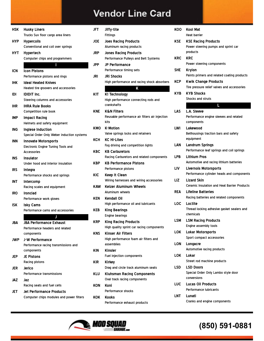| HSK.       | <b>Husky Liners</b><br>Trucks Suv floor cargo area liners                               |
|------------|-----------------------------------------------------------------------------------------|
| HYP.       | <b>Hypercoils</b><br>Conventional and coil over springs                                 |
| HYT        | Hypertech<br>Computer chips and programmers                                             |
|            | I                                                                                       |
| <b>ICN</b> | <b>Icon Pistons</b><br>Performance pistons and rings                                    |
| IHK        | <b>Ideal Heated Knives</b><br>Heated tire groovers and accessories                      |
| IDI        | <b>IDIDIT Inc.</b><br>Steering columns and accessories                                  |
| ihr        | <b>IHRA Rule Books</b><br>Competition rule book                                         |
| IMP        | <b>Impact Racing</b><br>Helmets and safety equipment                                    |
| ING        | Inglese Induction<br>Special Order Only Weber induction systems                         |
| <b>INN</b> | <b>Innovate Motorsports</b><br>Electronic Engine Tuning Tools and<br><b>Accessories</b> |
| INS        | Insulator<br>Under hood and interior insulation                                         |
| IRS        | Integra<br>Performance shocks and springs                                               |
| INT        | Intercomp<br>Racing scales and equipment                                                |
| IRO        | Ironclad<br>Performance work gloves                                                     |
| ISK        | <b>Isky Cams</b><br>Performance cams and accessories                                    |
|            |                                                                                         |
| JBA        | <b>JBA Performance Exhaust</b><br>Performance headers and related                       |
|            | components                                                                              |
| <b>JWP</b> | <b>J-W Performance</b><br>Performance racing transmissions and                          |
|            | components                                                                              |
| JEP.       | <b>JE Pistons</b><br>Racing pistons                                                     |
| JER.       | Jerico<br>Performance transmissions                                                     |
| JAZ        | Jaz<br>Racing seats and fuel cells                                                      |
| JET.       | <b>Jet Performance Products</b><br>Computer chips modules and power filters             |

| JFT        | Jiffy-tite<br><b>Fittings</b>                                                    |
|------------|----------------------------------------------------------------------------------|
| JOE        | <b>Joes Racing Products</b><br>Aluminum racing products                          |
| <b>JRP</b> | <b>Jones Racing Products</b><br>Performance Pulleys and Belt Systems             |
| JPP        | <b>JP Performance</b><br>Performance timing sets                                 |
| JRI        | <b>JRI Shocks</b><br>High performance and racing shock absorbers                 |
|            | Κ                                                                                |
| K1T        | K1 Technology<br>High performance connecting rods and                            |
|            | crankshafts                                                                      |
| KNE        | <b>K&amp;N Filters</b><br>Reusable performance air filters air injection<br>kits |
|            |                                                                                  |
| кмо        | <b>K-Motion</b><br>Valve springs locks and retainers                             |
| ксн        | <b>KC Hi-Lites</b><br>Fog driving and competition lights                         |
| KBC        | <b>KB Carburetors</b><br>Racing Carburetors and related components               |
| KBP        | <b>KB Performance Pistons</b><br>Performance pistons                             |
| KIC        | Keep It Clean<br>Wiring harnesses and wiring accessories                         |
| KAW        | <b>Keizer Aluminum Wheels</b><br>Aluminum wheels                                 |
| KEN        | Kendall Oil<br>High performance oil and lubricants                               |
| KEB        | <b>King Bearings</b>                                                             |
|            | <b>Engine bearings</b>                                                           |
| KRP        | <b>King Racing Products</b><br>High quality sprint car racing components         |
| KNS        | <b>Kinser Air Filters</b><br>High performance foam air filters and<br>assemblies |
| KIN        | <b>Kinsler</b><br>Fuel injection components                                      |
| KIR        | <b>Kirkey</b><br>Drag and circle track aluminum seats                            |
| KLU        | <b>Kluhsman Racing Components</b><br>Oval track racing components                |
| KON        | Koni<br><b>Performance shocks</b>                                                |
| KOK        | Kooks<br>Performance exhaust products                                            |

| KOO        | <b>Kool Mat</b>                                     |
|------------|-----------------------------------------------------|
|            | <b>Heat barrier</b>                                 |
| KSE        | <b>KSE Racing Products</b>                          |
|            | Power steering pumps and sprint car                 |
|            | products                                            |
| <b>KRC</b> | <b>KRC</b>                                          |
|            | Power steering components                           |
| SHE        | <b>Krylon</b>                                       |
|            | Paints primers and related coating products         |
| KCP        | <b>Kwik Change Products</b>                         |
|            | Tire pressure relief valves and accessories         |
| KYB        | <b>KYB Shocks</b>                                   |
|            | <b>Shocks and struts</b>                            |
|            | L.                                                  |
| LAS        | L.A. Sleeve                                         |
|            | Performance engine sleeves and related              |
|            | components                                          |
| LWI        |                                                     |
|            | Lakewood                                            |
|            | Bellhousings traction bars and safety<br>equipment  |
|            |                                                     |
| LAN        | <b>Landrum Springs</b>                              |
|            | Performance leaf springs and coil springs           |
| <b>LPB</b> | <b>Lithium Pros</b>                                 |
|            | Automotive and racing lithium batteries             |
| LIV        | <b>Livernois Motorsports</b>                        |
|            | Performance cylinder heads and components           |
| LIZ        | Lizard Skin                                         |
|            | <b>Ceramic Insulation and Heat Barrier Products</b> |
| REA        | <b>Lifeline Batteries</b>                           |
|            | Racing batteries and related components             |
| LOC        | Loctite                                             |
|            | Thread locking adhesive gasket sealers and          |
|            | chemicals                                           |
| LSM        | <b>LSM Racing Products</b>                          |
|            | Engine assembly tools                               |
| <b>LOK</b> | <b>Lokar Motorsports</b>                            |
|            | Sport compact accessories                           |
| LON        | Longacre                                            |
|            | Automotive racing products                          |
| LOK        | Lokar                                               |
|            | Street rod machine products                         |
| LSD        | <b>LSD Doors</b>                                    |
|            | Special Order Only Lambo style door                 |
|            | conversions                                         |
| LUC        | Lucas Oil Products                                  |
|            | <b>Performance lubricants</b>                       |
| LNT.       | Lunati                                              |
|            | Cranks and engine components                        |
|            |                                                     |

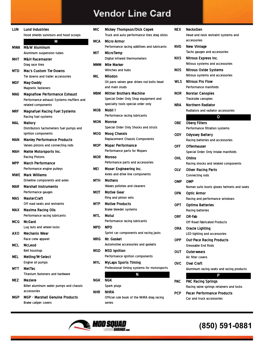| LUN        | <b>Lund Industries</b>                                        |
|------------|---------------------------------------------------------------|
|            | Hood shields sunvisors and hood scoops                        |
|            | M                                                             |
| MWA        | <b>M&amp;W Aluminum</b>                                       |
|            | Aluminum suspension tubes                                     |
| МНТ        | M&H Racemaster                                                |
|            | Drag race tires                                               |
| MTD        | <b>Mac's Custom Tie-Downs</b>                                 |
|            | Tie downs and trailer accessories                             |
| MDF        | Mag-Daddy                                                     |
|            | <b>Magnetic fasteners</b>                                     |
| MAG        | <b>Magnaflow Performance Exhaust</b>                          |
|            | Performance exhaust Systems mufflers and                      |
|            | related components                                            |
| MRF        | <b>Magnafuel Racing Fuel Systems</b>                          |
|            | Racing fuel systems                                           |
| MAL        | Mallory                                                       |
|            | Distributors tachometers fuel pumps and                       |
|            | ignition components                                           |
| MAN        | <b>Manley Performance Products</b>                            |
|            | Valves pistons and connecting rods                            |
| MAH        | <b>Mahle Motorsports Inc.</b>                                 |
|            | <b>Racing Pistons</b>                                         |
| MPP        | March Performance                                             |
|            | Performance engine pulleys                                    |
| MWE        | <b>Mark Williams</b>                                          |
| MAR        | Driveline components and axles<br><b>Marshall Instruments</b> |
|            | Performance gauges                                            |
| MAS        | MasterCraft                                                   |
|            | Off road seats and restraints                                 |
| <b>MAX</b> | <b>Maxima Racing Oils</b>                                     |
|            | Performance racing lubricants                                 |
| MCG        | McGard                                                        |
|            | Lug nuts and wheel locks                                      |
| <b>AXO</b> | <b>Mechanix Wear</b>                                          |
|            | Race crew apparel                                             |
| MCL        | <b>McLeod</b>                                                 |
|            | <b>Bell housings</b>                                          |
| MEL        | Melling/M-Select                                              |
|            | Engine oil pumps                                              |
| MTT        | <b>MetTec</b>                                                 |
|            | Titanium fasteners and hardware                               |
| MEZ        | Meziere                                                       |
|            | Billet aluminum water pumps and chassis                       |
|            | accessories                                                   |
| MGP        | <b>MGP - Marshall Genuine Products</b>                        |
|            | Brake caliper covers                                          |

| <b>MIC</b> | <b>Mickey Thompson/Dick Cepek</b><br>Truck and auto performance tires drag slicks |
|------------|-----------------------------------------------------------------------------------|
|            |                                                                                   |
| МСА        | Micro-Armor<br>Performance racing additives and lubricants                        |
| MIT        | <b>MicroTemp</b>                                                                  |
|            | Digital infrared thermometers                                                     |
| МММ        | <b>Mile Marker</b>                                                                |
|            | Winches and hubs                                                                  |
| MIL        | Milodon                                                                           |
|            | Oil pans valves gear drives rod bolts head                                        |
|            | and main studs                                                                    |
| МВМ        | <b>Mittler Brothers Machine</b>                                                   |
|            | Special Order Only Shop equipment and                                             |
|            | specialty tools special order only                                                |
| мов        | Mobil 1                                                                           |
|            | Performance racing lubricants                                                     |
| MON        | Monroe                                                                            |
|            | Special Order Only Shocks and struts                                              |
| MOG        | <b>Moog Chassis</b>                                                               |
|            | <b>Replacement Chassis Components</b>                                             |
| MOP        | <b>Mopar Performance</b>                                                          |
|            | Performance parts for Mopars                                                      |
| MOR        | Moroso                                                                            |
|            | Peformance parts and accessories                                                  |
| MEI        | Moser Engineering Inc.                                                            |
|            | Axles and drive line components                                                   |
| MTH        | <b>Mothers</b>                                                                    |
|            | Waxes polishes and cleaners                                                       |
| МОТ        | <b>Motive Gear</b>                                                                |
|            | Ring and pinion sets                                                              |
| <b>MTP</b> | <b>Motive Products</b>                                                            |
|            | Brake bleeder systems                                                             |
| MTL        | Motul                                                                             |
|            | Performance racing lubricants                                                     |
| MPD        | <b>MPD</b><br>Sprint car components and racing jacks                              |
|            | Mr. Gasket                                                                        |
| MRG        | Automotive accessories and gaskets                                                |
|            |                                                                                   |
| MSD        | <b>MSD</b> Ignition<br>Performance ignition components                            |
| MYL        | <b>MyLaps Sports Timing</b>                                                       |
|            | Professional timing systems for motorsports                                       |
|            | N                                                                                 |
| NGK        | <b>NGK</b>                                                                        |
|            | Spark plugs                                                                       |
| NHR        | NHRA                                                                              |
|            | Official rule book of the NHRA drag racing                                        |
|            | series                                                                            |
|            |                                                                                   |

| NEX        | NecksGen<br>Head and neck restraint systems and<br>accessories        |
|------------|-----------------------------------------------------------------------|
| NVG        | <b>New Vintage</b><br>Tachs gauges and accessories                    |
| NXS        | Nitrous Express Inc.<br>Nitrous systems and accessories               |
| NOS        | <b>Nitrous Oxide Systems</b><br>Nitrous systems and accessories       |
| WLS        | <b>Nitrous Pro Flow</b><br>Performance manifolds                      |
| NOR        | <b>Norstar Canopies</b><br>Trackside canopies                         |
| NRA        | Northern Radiator<br>Radiators and radiator accessories               |
|            | Ο                                                                     |
| OBE        | <b>Oberg Filters</b><br>Performance filtration systems                |
| ODY        | <b>Odyssey Battery</b><br>Racing batteries and accessories            |
| OFF        | Offenhauser<br>Special Order Only Intake manifolds                    |
| OHL        | <b>Ohlins</b><br>Racing shocks and related components                 |
| OLV        | <b>Oliver Racing Parts</b><br>Connecting rods                         |
| OMP        | <b>OMP</b><br>Nomex suits boots gloves helmets and seats              |
| OPA        | <b>Optic Armor</b><br>Racing and performance windows                  |
| <b>OPT</b> | <b>Optima Batteries</b><br>Racing batteries                           |
| <b>ORF</b> | OR-Fab<br><b>Off Road Fabricated Products</b>                         |
| ORA        | <b>Oracle Lighting</b><br>LED lighting and accessories                |
| OPP        | <b>Out-Pace Racing Products</b><br><b>Greasable End Rods</b>          |
| OUT        | Outerwears<br>Air filter covers                                       |
| ovc        | Oval Craft<br>Aluminum racing seats and racing products               |
|            | Þ                                                                     |
| PAC        | <b>PAC Racing Springs</b><br>Racing valve springs retainers and locks |
| PCP        | <b>Pacer Performance Products</b><br>Car and truck accessories        |

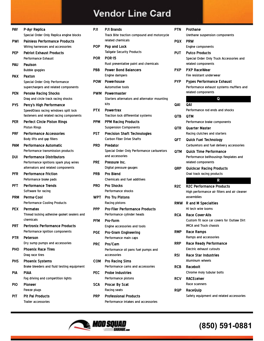| <b>PAY</b> | P-Ayr Replica                                             |
|------------|-----------------------------------------------------------|
|            | Special Order Only Replica engine blocks                  |
| PWI        | <b>Painless Performance Products</b>                      |
|            | Wiring harnesses and accessories                          |
| PEP        | <b>Patriot Exhaust Products</b>                           |
|            | <b>Performance Exhaust</b>                                |
| PAU        | Paulson                                                   |
|            | Bubble goggles                                            |
| PAX        | Paxton                                                    |
|            | Special Order Only Performance                            |
|            | superchargers and related components                      |
| PEN        | <b>Penske Racing Shocks</b>                               |
|            | Drag and circle track racing shocks                       |
| <b>PYS</b> | Percy's High Performance                                  |
|            | SpeedGlass racing windows split lock                      |
| PER        | fasteners and related racing components                   |
|            | <b>Perfect Circle Piston Rings</b><br><b>Piston Rings</b> |
| PRF        | <b>Performance Accessories</b>                            |
|            | Body lifts and gap fillers                                |
| PAM        | Performance Automatic                                     |
|            | Performance transmission products                         |
| Dui        | Performance Distributors                                  |
|            | Performance ignitions spark plug wires                    |
|            | alternators and related components                        |
| PFR        | <b>Performance Friction</b>                               |
|            | Peformance brake pads                                     |
| PFT        | <b>Performance Trends</b>                                 |
|            | Software for racing                                       |
| PRM        | Perma-Cool                                                |
|            | <b>Performance Cooling Products</b>                       |
| <b>PEX</b> | Permatex                                                  |
|            | Thread locking adhesive gasket sealers and                |
|            | chemicals                                                 |
| PRT        | <b>Pertronix Performance Products</b>                     |
|            | Performance ignition components                           |
| PTR        | Peterson                                                  |
|            | Dry sump pumps and accessories                            |
| PHO        | <b>Phoenix Race Tires</b>                                 |
|            | Drag race tires                                           |
| PHS        | <b>Phoenix Systems</b>                                    |
|            | Brake bleeders and fluid testing equipment                |
| PIA        | PIAA                                                      |
|            | Fog driving and competition lights                        |
| PIO        | Pioneer                                                   |
|            | Freeze plugs                                              |
| PIT        | <b>Pit Pal Products</b>                                   |
|            | <b>Trailer accessories</b>                                |

| PJ1        | <b>PJ1 Brands</b>                                                |
|------------|------------------------------------------------------------------|
|            | Track Bite traction compound and motorcycle<br>related chemicals |
| POP        | <b>Pop and Lock</b><br><b>Tailgate Security Products</b>         |
| POR        | <b>POR-15</b>                                                    |
|            | Rust preventative paint and chemicals                            |
| PBB        | <b>Power Bond Balancers</b>                                      |
| POW        | <b>Engine dampers</b><br><b>Powerhouse</b>                       |
|            | <b>Automotive tools</b>                                          |
| PWM        | Powermaster                                                      |
|            | Starters alternators and alternator mounting<br>kits             |
| <b>PTX</b> | <b>Powertrax</b>                                                 |
|            | Traction lock differential systems                               |
| PPM        | <b>PPM Racing Products</b>                                       |
|            | <b>Suspension Components</b>                                     |
| PST.       | <b>Precision Shaft Technologies</b>                              |
|            | <b>Carbon Fiber Drive Shafts</b>                                 |
| <b>PRD</b> | Predator                                                         |
|            | Special Order Only Performance carburetors<br>and accessories    |
| PRE        | Pressure Inc.                                                    |
|            | Digital pressure gauges                                          |
| PRB        | Pro Blend                                                        |
|            | <b>Chemicals and fuel additives</b>                              |
| <b>PRO</b> | <b>Pro Shocks</b>                                                |
|            | <b>Performance shocks</b>                                        |
| WPT        | <b>Pro Tru Pistons</b>                                           |
|            | Racing pistons                                                   |
| <b>PPP</b> | <b>Pro-Filer Performance Products</b>                            |
|            | Performance cylinder heads                                       |
| PFM        | Pro-Form                                                         |
|            | Engine accessories and tools                                     |
| PGE        | <b>Pro-Gram Engineering</b><br>Performance main caps             |
|            | Pro/Cam                                                          |
| PRC        | Performance oil pans fuel pumps and                              |
|            | accessories                                                      |
| COM        | <b>Pro Racing Sims</b>                                           |
|            | Performance cams and accessories                                 |
| PEC        | <b>Probe Industries</b>                                          |
|            | Performance pistons                                              |
| SCA        | <b>Procar By Scat</b>                                            |
|            | <b>Racing seats</b>                                              |
| PRP.       | <b>Professional Products</b>                                     |
|            | Performance intakes and accessories                              |

| PTN              | Prothane                                                             |
|------------------|----------------------------------------------------------------------|
|                  | Urethane suspension components                                       |
| <b>PQX</b>       | <b>PRW</b>                                                           |
|                  | Engine components                                                    |
| <b>PUT</b>       | <b>Putco Products</b>                                                |
|                  | Special Order Only Truck Accessories and                             |
|                  | related components                                                   |
| <b>PXP</b>       | <b>PXP RaceWear</b>                                                  |
|                  | Fire resistant underwear                                             |
| PYP              | <b>Pypes Performance Exhaust</b>                                     |
|                  | Performance exhaust systems mufflers and                             |
|                  | related components                                                   |
|                  | Q                                                                    |
| QA1              | QA1                                                                  |
|                  | Performance rod ends and shocks                                      |
| QTB.             | QTM                                                                  |
|                  | Performance brake components                                         |
| <b>QTR</b>       | <b>Quarter Master</b>                                                |
|                  | Racing clutches and starters                                         |
| QFT              | <b>Quick Fuel Technology</b>                                         |
|                  | Carburetors and fuel delivery accessories                            |
| QTM              | <b>Quick Time Performance</b>                                        |
|                  | Performance bellhousings flexplates and                              |
|                  | related components                                                   |
| QRP              | <b>Quickcar Racing Products</b>                                      |
|                  | Oval track racing products                                           |
|                  | R                                                                    |
| R <sub>2</sub> C | <b>R2C Performance Products</b>                                      |
|                  | High performance air filters and air cleaner<br>assemblies           |
|                  |                                                                      |
| <b>RMW</b>       | <b>R</b> and M Specialties<br>Hi tech wire looms                     |
|                  |                                                                      |
| RCA              | <b>Race Cover-Alls</b><br>Custom fit race car covers for Outlaw Dirt |
|                  | <b>IMCA and Truck chassis</b>                                        |
| <b>RMP</b>       | <b>Race Ramps</b>                                                    |
|                  | Ramps and accessories                                                |
| <b>RRP</b>       | <b>Race Ready Performance</b>                                        |
|                  | Electric exhaust cutouts                                             |
| RSI              | <b>Race Star Industries</b>                                          |
|                  | Aluminum wheels                                                      |
| <b>RCB</b>       | Racebolt                                                             |
|                  | Chrome moly tubular bolts                                            |
| RCV              | <b>RACEceiver</b>                                                    |
|                  | <b>Race scanners</b>                                                 |
| RQP              | <b>RaceQuip</b>                                                      |
|                  | Safety equipment and related accessories                             |

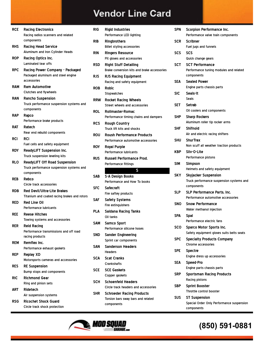| <b>RCE</b> | <b>Racing Electronics</b><br>Racing radios scanners and related     |
|------------|---------------------------------------------------------------------|
|            | components                                                          |
| <b>RHS</b> | <b>Racing Head Service</b><br>Aluminum and Iron Cylinder Heads      |
| <b>ROP</b> | <b>Racing Optics Inc.</b><br>Laminated tear offs                    |
| <b>RPC</b> | Racing Power Company - Packaged                                     |
|            | Packaged aluminum and steel engine<br>accessories                   |
| RAM        | <b>Ram Automotive</b>                                               |
|            | Clutches and flywheels                                              |
| RAN.       | <b>Rancho Suspension</b>                                            |
|            | Truck performance suspension systems and<br>components              |
| RAP        | Rapco                                                               |
|            | Performance brake products                                          |
| RAT        | Ratech                                                              |
|            | Rear end rebuild components                                         |
| RCI        | RCi                                                                 |
| <b>RDY</b> | Fuel cells and safety equipment<br><b>ReadyLIFT Suspension Inc.</b> |
|            | Truck suspension leveling kits                                      |
| RLO        | <b>ReadyLIFT Off Road Suspension</b>                                |
|            | Truck performance suspension systems and<br>components              |
| REB        | Rebco                                                               |
|            | Circle track accessories                                            |
| <b>RDB</b> | <b>Red Devil/Ultra-Lite Brakes</b>                                  |
|            | Titanium and coated racing brakes and rotors                        |
| RED        | <b>Red Line Oil</b>                                                 |
|            | <b>Performance lubricants</b>                                       |
| REE        | <b>Reese Hitches</b>                                                |
|            | Towing systems and accessories                                      |
| RER        | <b>Reid Racing</b>                                                  |
|            | Performance transmissions and off road                              |
|            | racing products                                                     |
| <b>REM</b> | Remflex Inc.<br>Performance exhaust gaskets                         |
| REP        | <b>Replay XD</b>                                                    |
|            | Motorsports cameras and accessories                                 |
| <b>RES</b> | <b>RE Suspension</b>                                                |
|            | Bump stops and components                                           |
| RIC        | <b>Richmond Gear</b>                                                |
|            | Ring and pinion sets                                                |
| ART        | Ridetech                                                            |
|            | Air suspension systems                                              |
| <b>RSG</b> | <b>Ricochet Shock Guard</b>                                         |
|            | Circle track shock protection                                       |

| RIG        | <b>Rigid Industries</b><br>Performance LED lighting                         |
|------------|-----------------------------------------------------------------------------|
| RIB        | Ringbrothers<br>Billet styling accessories                                  |
| RIN        | <b>Ringers Resource</b><br>Pit gloves and accessories                       |
| RSD        | <b>Right Stuff Detailing</b><br>Brake conversion kits and brake accessories |
| RJS        | <b>RJS Racing Equipment</b><br>Racing and safety equipment                  |
| ROB        | Robic<br>Stopwatches                                                        |
| <b>RRW</b> | <b>Rocket Racing Wheels</b><br>Street wheels and accessories                |
| ROL        | <b>Rollmaster-Romac</b><br>Performance timing chains and dampers            |
| RCS        | <b>Rough Country</b><br>Truck lift kits and shocks                          |
| ROU        | <b>Roush Performance Products</b><br>Performance automotive accessories     |
| ROY        | <b>Royal Purple</b><br><b>Performance lubricants</b>                        |
| RUS        | Russell Performance Prod.<br>Performance fittings                           |
|            |                                                                             |
|            | S                                                                           |
| SAB        | <b>S-A Design Books</b><br>Performance and How To books                     |
| SFC        | Safecraft<br>Fire saftey products                                           |
| SAF        | <b>Safety Systems</b><br>Fire extinguishers                                 |
| PLA        | <b>Saldana Racing Tanks</b><br>Oil tanks                                    |
| SAM        | <b>Samco Sport</b><br>Performance silicone hoses                            |
| SND        | Sander Engineering                                                          |
| SAN        | Sprint car components<br><b>Sanderson Headers</b><br><b>Headers</b>         |
| SCA        | <b>Scat Cranks</b><br>Crankshafts                                           |
| SCE        | <b>SCE Gaskets</b><br>Copper gaskets                                        |
| SCH        | Schoenfeld Headers<br>Circle track headers and accessories                  |

| <b>SPN</b> | <b>Scorpion Performance Inc.</b><br>Performance valve train components                |
|------------|---------------------------------------------------------------------------------------|
| SCR        | <b>Scribner</b><br>Fuel jugs and funnels                                              |
| scs        | <b>SCS</b><br>Quick change gears                                                      |
| SCT        | <b>SCT Performance</b><br>Performance tuning modules and related<br>components        |
| <b>SEA</b> | <b>Sealed Power</b><br>Engine parts chassis parts                                     |
| SIC        | Seals-It<br>Seals                                                                     |
| SET        | Setrab<br>Oil coolers and components                                                  |
| SHP        | <b>Sharp Rockers</b><br>Aluminum roller tip rocker arms                               |
| SHF        | <b>Shifnoid</b><br>Air and electric racing shifters                                   |
| SHU        | <b>ShurTrax</b><br>Non scuff all weather traction products                            |
| KBP        | Silv-O-Lite<br>Performance pistons                                                    |
| SIM        | <b>Simpson</b><br>Helmets and safety equipment                                        |
| SKY        | <b>Skyjacker Suspension</b><br>Truck performance suspension systems and<br>components |
| <b>SLP</b> | SLP Performance Parts, Inc.<br>Performance automotive accessories                     |
| SNO        | <b>Snow Performance</b><br>Water methanol injection                                   |
| SPA        | Spal<br>Performance electric fans                                                     |
| sco        | <b>Sparco Motor Sports Inc.</b><br>Safety equipment gloves suits belts seats          |
| SPC        | <b>Specialty Products Company</b><br>Chrome accessories                               |
| SPE        | <b>Spectre</b><br>Engine dress up accessories                                         |
| SEA        | Speed-Pro<br>Engine parts chassis parts                                               |
| SRP        | <b>Sportsman Racing Products</b><br>Racing pistons                                    |
| SBP        | <b>Sprint Booster</b><br>Throttle control booster                                     |
| รบร        | <b>ST Suspension</b><br>Special Order Only Performance suspension                     |



#### **(850) 591-0881**

components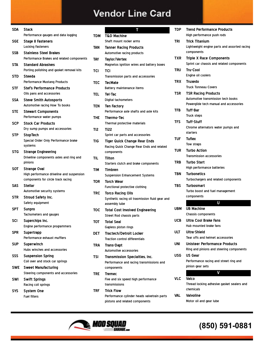| SDA        | Stack                                                |
|------------|------------------------------------------------------|
|            | Performance gauges and data logging                  |
| SGE        | <b>Stage 8 Fasteners</b>                             |
|            | Locking Fasteners                                    |
| SSB        | <b>Stainless Steel Brakes</b>                        |
|            | Performance Brakes and related components            |
| STA        | <b>Standard Abrasives</b>                            |
|            | Porting polishing and gasket removal kits            |
| STD        | Steeda                                               |
|            | <b>Performance Mustang Products</b>                  |
| <b>STF</b> | <b>Stef's Performance Products</b>                   |
|            | Oils pans and accessories                            |
| <b>SSA</b> | <b>Steve Smith Autosports</b>                        |
|            | Automotive racing How To books                       |
| STE        | <b>Stewart Components</b><br>Performance water pumps |
| <b>SCP</b> | <b>Stock Car Products</b>                            |
|            | Dry sump pumps and accessories                       |
| <b>STP</b> | <b>StopTech</b>                                      |
|            | Special Order Only Performance brake                 |
|            | systems                                              |
| STG        | <b>Strange Engineering</b>                           |
|            | Driveline components axles and ring and              |
|            | pinions                                              |
| SOT        | Strange Oval                                         |
|            | High performance driveline and suspension            |
|            | components for circle track racing                   |
| SAS        | Stellar                                              |
|            | Automotive security systems                          |
| STR        | <b>Stroud Safety Inc.</b><br>Safety equipment        |
| SPT        | <b>Sunpro</b>                                        |
|            | Tachometers and gauges                               |
| SCI        | Superchips Inc.                                      |
|            | Engine performance programmers                       |
| <b>SPR</b> | Supertrapp                                           |
|            | Performance exhaust mufflers                         |
| <b>SUP</b> | Superwinch                                           |
|            | Hubs winches and accessories                         |
| SSS        | <b>Suspension Spring</b>                             |
|            | Coil over and stock car springs                      |
| <b>SWE</b> | <b>Sweet Manufacturing</b>                           |
|            | Steering components and accessories                  |
| SWI        | <b>Swift Springs</b>                                 |
|            | Racing coil springs                                  |
| SYS        | <b>System One</b>                                    |
|            | <b>Fuel filters</b>                                  |

|                 | Т                                                                |
|-----------------|------------------------------------------------------------------|
| TDM             | <b>T&amp;D Machine</b>                                           |
|                 | Shaft mount rocker arms                                          |
| TAN             | <b>Tanner Racing Products</b>                                    |
|                 | Automotive racing products                                       |
| <b>TAY</b>      | <b>Taylor/Vertex</b>                                             |
|                 | Magnetos ignition wires and battery boxes                        |
| TCI             | TCI                                                              |
|                 | Transmission parts and accessories                               |
| TEC             | <b>TecMate</b>                                                   |
|                 | Battery maintenance items                                        |
| TEL             | <b>Tel-Tac</b>                                                   |
|                 | Digital tachometers                                              |
|                 |                                                                  |
| <b>TEN</b>      | <b>Ten Factory</b><br>Performance axle shafts and axle kits      |
|                 |                                                                  |
| THE             | Thermo-Tec                                                       |
|                 | Thermal protective materials                                     |
| TI <sub>2</sub> | <b>Ti22</b>                                                      |
|                 | Sprint car parts and accessories                                 |
| TIG             | <b>Tiger Quick Change Rear Ends</b>                              |
|                 | Racing Quick Change Rear Ends and related                        |
|                 | components                                                       |
| TIL             | <b>Tilton</b>                                                    |
|                 | Starters clutch and brake components                             |
| TIM             | Timbren                                                          |
|                 | <b>Suspension Enhancement Systems</b>                            |
| <b>TOR</b>      | Torch Wear                                                       |
|                 | Functional protective clothing                                   |
| TRC             | <b>Torco Racing Oils</b>                                         |
|                 | Synthetic racing oil trasmission fluid gear and                  |
|                 | assembly lube                                                    |
| TOC             | <b>Total Cost Involved Engineering</b>                           |
|                 | Street Rod chassis parts                                         |
| тот             | Total Seal                                                       |
|                 | Gapless piston rings                                             |
| DET             | <b>Tractech/Detroit Locker</b>                                   |
|                 | <b>Traction control differentials</b>                            |
| TRA             | Trans-Dapt                                                       |
|                 | Automotive accessories                                           |
| TSI             | <b>Transmission Specialties, Inc.</b>                            |
|                 | Performance and racing transmissions and                         |
|                 | components                                                       |
| <b>TRE</b>      | <b>Tremec</b>                                                    |
|                 | Five and six speed high performance<br>transmissions             |
|                 |                                                                  |
| TRF             | <b>Trick Flow</b><br>Performance cylinder heads valvetrain parts |
|                 | pistons and related components                                   |
|                 |                                                                  |

| TDP        | <b>Trend Performance Products</b>            |
|------------|----------------------------------------------|
|            | High performance push rods                   |
| TRI        | <b>Trick Titanium</b>                        |
|            | Lightweight engine parts and assorted racing |
|            | components                                   |
| <b>TXR</b> | <b>Triple X Race Components</b>              |
|            | Sprint car chassis and related components    |
| TRU        | Tru-Cool                                     |
|            | Engine oil coolers                           |
| TRX        | Truxedo                                      |
|            | <b>Truck Tonneau Covers</b>                  |
| TSR        | <b>TSR Racing Products</b>                   |
|            | Automotive transmission tech books           |
|            | Powerglide tech manual and accessories       |
| TFB        | Tuff-Bar                                     |
|            | <b>Truck steps</b>                           |
| <b>TFS</b> | <b>Tuff-Stuff</b>                            |
|            | Chrome alternators water pumps and           |
|            | starters                                     |
| TUF        | <b>Tuflex</b>                                |
|            | Tow straps                                   |
| TUR        | <b>Turbo Action</b>                          |
|            | <b>Transmission accessories</b>              |
| <b>TRB</b> | Turbo Start                                  |
|            | High performance batteries                   |
| TBN        | <b>Turbonetics</b>                           |
|            | Turbochargers and related components         |
| TBS        | Turbosmart                                   |
|            | Turbo boost and fuel management              |
|            | components                                   |
|            | U                                            |
| UBM        | <b>UB Machine</b>                            |
|            | <b>Chassis components</b>                    |
| UCB        | Ultra Cool Brake Fans                        |
|            | Hub mounted brake fans                       |
| ULT        | Ultra-Shield                                 |
|            | Tear offs and helmet accessories             |
| UNI        | Unisteer Performance Products                |
|            | Ring and pinions and steering components     |
| USG        | <b>US Gear</b>                               |
|            | Performance racing and street ring and       |
|            | pinion gear sets                             |
|            |                                              |
| VLC        | Valco                                        |
|            | Thread locking adhesive gasket sealers and   |
|            | chemicals                                    |
| VAL        | Valvoline                                    |
|            | Motor oil and gear lube                      |